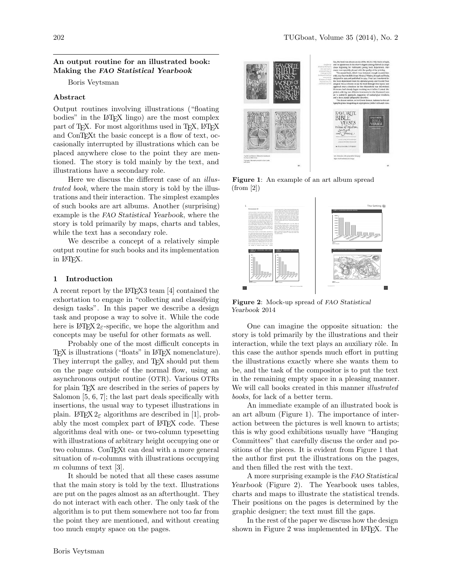## An output routine for an illustrated book: Making the FAO Statistical Yearbook

Boris Veytsman

## Abstract

Output routines involving illustrations ("floating bodies" in the LATEX lingo) are the most complex part of T<sub>F</sub>X. For most algorithms used in T<sub>F</sub>X, L<sup>AT</sup>F<sub>X</sub> and ConT<sub>E</sub>Xt the basic concept is a flow of text, occasionally interrupted by illustrations which can be placed anywhere close to the point they are mentioned. The story is told mainly by the text, and illustrations have a secondary role.

Here we discuss the different case of an illustrated book, where the main story is told by the illustrations and their interaction. The simplest examples of such books are art albums. Another (surprising) example is the FAO Statistical Yearbook, where the story is told primarily by maps, charts and tables, while the text has a secondary role.

We describe a concept of a relatively simple output routine for such books and its implementation in LATEX.

## 1 Introduction

A recent report by the LATEX3 team [\[4\]](#page-2-0) contained the exhortation to engage in "collecting and classifying design tasks". In this paper we describe a design task and propose a way to solve it. While the code here is LATEX  $2\varepsilon$ -specific, we hope the algorithm and concepts may be useful for other formats as well.

Probably one of the most difficult concepts in TEX is illustrations ("floats" in LATEX nomenclature). They interrupt the galley, and TEX should put them on the page outside of the normal flow, using an asynchronous output routine (OTR). Various OTRs for plain T<sub>E</sub>X are described in the series of papers by Salomon [\[5,](#page-2-1) [6,](#page-2-2) [7\]](#page-2-3); the last part deals specifically with insertions, the usual way to typeset illustrations in plain. LATEX  $2\varepsilon$  algorithms are described in [\[1\]](#page-2-4), probably the most complex part of LATEX code. These algorithms deal with one- or two-column typesetting with illustrations of arbitrary height occupying one or two columns. ConTEXt can deal with a more general situation of n-columns with illustrations occupying  $m$  columns of text [\[3\]](#page-2-5).

It should be noted that all these cases assume that the main story is told by the text. Illustrations are put on the pages almost as an afterthought. They do not interact with each other. The only task of the algorithm is to put them somewhere not too far from the point they are mentioned, and without creating too much empty space on the pages.



<span id="page-0-0"></span>Figure 1: An example of an art album spread (from [\[2\]](#page-2-6))



<span id="page-0-1"></span>Figure 2: Mock-up spread of FAO Statistical Yearbook 2014

One can imagine the opposite situation: the story is told primarily by the illustrations and their interaction, while the text plays an auxiliary rôle. In this case the author spends much effort in putting the illustrations exactly where she wants them to be, and the task of the compositor is to put the text in the remaining empty space in a pleasing manner. We will call books created in this manner *illustrated* books, for lack of a better term.

An immediate example of an illustrated book is an art album (Figure [1\)](#page-0-0). The importance of interaction between the pictures is well known to artists; this is why good exhibitions usually have "Hanging Committees" that carefully discuss the order and positions of the pieces. It is evident from Figure [1](#page-0-0) that the author first put the illustrations on the pages, and then filled the rest with the text.

A more surprising example is the FAO Statistical Yearbook (Figure [2\)](#page-0-1). The Yearbook uses tables, charts and maps to illustrate the statistical trends. Their positions on the pages is determined by the graphic designer; the text must fill the gaps.

In the rest of the paper we discuss how the design shown in Figure [2](#page-0-1) was implemented in LAT<sub>F</sub>X. The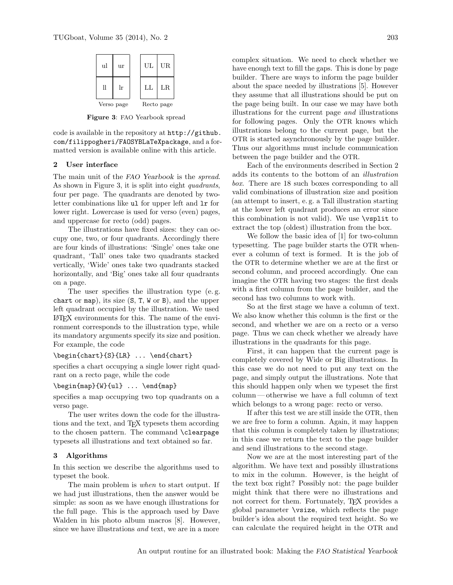

<span id="page-1-0"></span>Figure 3: FAO Yearbook spread

code is available in the repository at [http://github.](http://github.com/filippogheri/FAOSYBLaTeXpackage) [com/filippogheri/FAOSYBLaTeXpackage](http://github.com/filippogheri/FAOSYBLaTeXpackage), and a formatted version is available online with this article.

## <span id="page-1-1"></span>2 User interface

The main unit of the FAO Yearbook is the *spread*. As shown in Figure [3,](#page-1-0) it is split into eight *quadrants*, four per page. The quadrants are denoted by twoletter combinations like ul for upper left and lr for lower right. Lowercase is used for verso (even) pages, and uppercase for recto (odd) pages.

The illustrations have fixed sizes: they can occupy one, two, or four quadrants. Accordingly there are four kinds of illustrations: 'Single' ones take one quadrant, 'Tall' ones take two quadrants stacked vertically, 'Wide' ones take two quadrants stacked horizontally, and 'Big' ones take all four quadrants on a page.

The user specifies the illustration type (e. g. chart or map), its size (S, T, W or B), and the upper left quadrant occupied by the illustration. We used LATEX environments for this. The name of the environment corresponds to the illustration type, while its mandatory arguments specify its size and position. For example, the code

\begin{chart}{S}{LR} ... \end{chart}

specifies a chart occupying a single lower right quadrant on a recto page, while the code

## \begin{map}{W}{ul} ... \end{map}

specifies a map occupying two top quadrants on a verso page.

The user writes down the code for the illustrations and the text, and TEX typesets them according to the chosen pattern. The command \clearpage typesets all illustrations and text obtained so far.

### 3 Algorithms

In this section we describe the algorithms used to typeset the book.

The main problem is *when* to start output. If we had just illustrations, then the answer would be simple: as soon as we have enough illustrations for the full page. This is the approach used by Dave Walden in his photo album macros [\[8\]](#page-2-7). However, since we have illustrations and text, we are in a more

complex situation. We need to check whether we have enough text to fill the gaps. This is done by page builder. There are ways to inform the page builder about the space needed by illustrations [\[5\]](#page-2-1). However they assume that all illustrations should be put on the page being built. In our case we may have both illustrations for the current page and illustrations for following pages. Only the OTR knows which illustrations belong to the current page, but the OTR is started asynchronously by the page builder. Thus our algorithms must include communication between the page builder and the OTR.

Each of the environments described in Section [2](#page-1-1) adds its contents to the bottom of an illustration box. There are 18 such boxes corresponding to all valid combinations of illustration size and position (an attempt to insert, e. g. a Tall illustration starting at the lower left quadrant produces an error since this combination is not valid). We use \vsplit to extract the top (oldest) illustration from the box.

We follow the basic idea of [\[1\]](#page-2-4) for two-column typesetting. The page builder starts the OTR whenever a column of text is formed. It is the job of the OTR to determine whether we are at the first or second column, and proceed accordingly. One can imagine the OTR having two stages: the first deals with a first column from the page builder, and the second has two columns to work with.

So at the first stage we have a column of text. We also know whether this column is the first or the second, and whether we are on a recto or a verso page. Thus we can check whether we already have illustrations in the quadrants for this page.

First, it can happen that the current page is completely covered by Wide or Big illustrations. In this case we do not need to put any text on the page, and simply output the illustrations. Note that this should happen only when we typeset the first column— otherwise we have a full column of text which belongs to a wrong page: recto or verso.

If after this test we are still inside the OTR, then we are free to form a column. Again, it may happen that this column is completely taken by illustrations; in this case we return the text to the page builder and send illustrations to the second stage.

Now we are at the most interesting part of the algorithm. We have text and possibly illustrations to mix in the column. However, is the height of the text box right? Possibly not: the page builder might think that there were no illustrations and not correct for them. Fortunately, TEX provides a global parameter \vsize, which reflects the page builder's idea about the required text height. So we can calculate the required height in the OTR and